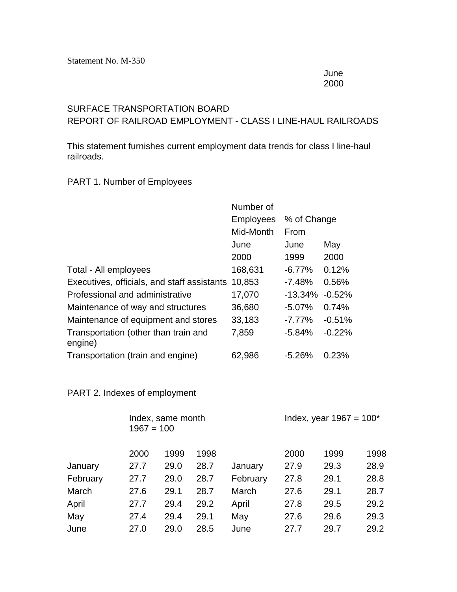June 2000

## SURFACE TRANSPORTATION BOARD

REPORT OF RAILROAD EMPLOYMENT - CLASS I LINE-HAUL RAILROADS

This statement furnishes current employment data trends for class I line-haul railroads.

## PART 1. Number of Employees

|                                                 | Number of        |             |          |  |  |
|-------------------------------------------------|------------------|-------------|----------|--|--|
|                                                 | <b>Employees</b> | % of Change |          |  |  |
|                                                 | Mid-Month        | From        |          |  |  |
|                                                 | June             | June        | May      |  |  |
|                                                 | 2000             | 1999        | 2000     |  |  |
| Total - All employees                           | 168,631          | $-6.77%$    | 0.12%    |  |  |
| Executives, officials, and staff assistants     | 10,853           | $-7.48%$    | 0.56%    |  |  |
| Professional and administrative                 | 17,070           | $-13.34%$   | $-0.52%$ |  |  |
| Maintenance of way and structures               | 36,680           | $-5.07%$    | 0.74%    |  |  |
| Maintenance of equipment and stores             | 33,183           | $-7.77%$    | $-0.51%$ |  |  |
| Transportation (other than train and<br>engine) | 7,859            | $-5.84%$    | $-0.22%$ |  |  |
| Transportation (train and engine)               | 62,986           | $-5.26%$    | 0.23%    |  |  |

## PART 2. Indexes of employment

|          |      | Index, same month<br>$1967 = 100$ |      |          |      | Index, year $1967 = 100^*$ |      |  |  |
|----------|------|-----------------------------------|------|----------|------|----------------------------|------|--|--|
|          | 2000 | 1999                              | 1998 |          | 2000 | 1999                       | 1998 |  |  |
| January  | 27.7 | 29.0                              | 28.7 | January  | 27.9 | 29.3                       | 28.9 |  |  |
| February | 27.7 | 29.0                              | 28.7 | February | 27.8 | 29.1                       | 28.8 |  |  |
| March    | 27.6 | 29.1                              | 28.7 | March    | 27.6 | 29.1                       | 28.7 |  |  |
| April    | 27.7 | 29.4                              | 29.2 | April    | 27.8 | 29.5                       | 29.2 |  |  |
| May      | 27.4 | 29.4                              | 29.1 | May      | 27.6 | 29.6                       | 29.3 |  |  |
| June     | 27.0 | 29.0                              | 28.5 | June     | 27.7 | 29.7                       | 29.2 |  |  |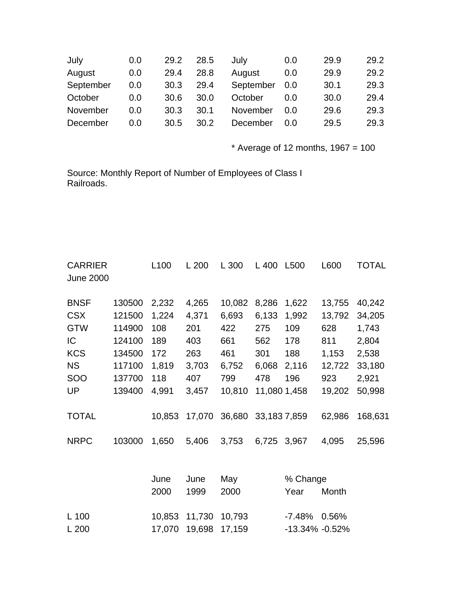| July      | 0.0 | 29.2 | 28.5 | July      | 0.0 | 29.9 | 29.2 |
|-----------|-----|------|------|-----------|-----|------|------|
| August    | 0.0 | 29.4 | 28.8 | August    | 0.0 | 29.9 | 29.2 |
| September | 0.0 | 30.3 | 29.4 | September | 0.0 | 30.1 | 29.3 |
| October   | 0.0 | 30.6 | 30.0 | October   | 0.0 | 30.0 | 29.4 |
| November  | 0.0 | 30.3 | 30.1 | November  | 0.0 | 29.6 | 29.3 |
| December  | 0.0 | 30.5 | 30.2 | December  | 0.0 | 29.5 | 29.3 |

 $*$  Average of 12 months, 1967 = 100

Source: Monthly Report of Number of Employees of Class I Railroads.

| <b>CARRIER</b><br><b>June 2000</b> |        | L <sub>100</sub> | L200         | L 300       | L 400        | L500             | L600   | <b>TOTAL</b> |
|------------------------------------|--------|------------------|--------------|-------------|--------------|------------------|--------|--------------|
| <b>BNSF</b>                        | 130500 | 2,232            | 4,265        | 10,082      | 8,286        | 1,622            | 13,755 | 40,242       |
| <b>CSX</b>                         | 121500 | 1,224            | 4,371        | 6,693       | 6,133        | 1,992            | 13,792 | 34,205       |
| <b>GTW</b>                         | 114900 | 108              | 201          | 422         | 275          | 109              | 628    | 1,743        |
| IC                                 | 124100 | 189              | 403          | 661         | 562          | 178              | 811    | 2,804        |
| <b>KCS</b>                         | 134500 | 172              | 263          | 461         | 301          | 188              | 1,153  | 2,538        |
| <b>NS</b>                          | 117100 | 1,819            | 3,703        | 6,752       | 6,068        | 2,116            | 12,722 | 33,180       |
| <b>SOO</b>                         | 137700 | 118              | 407          | 799         | 478          | 196              | 923    | 2,921        |
| <b>UP</b>                          | 139400 | 4,991            | 3,457        | 10,810      | 11,080 1,458 |                  | 19,202 | 50,998       |
| <b>TOTAL</b>                       |        | 10,853           | 17,070       | 36,680      | 33,1837,859  |                  | 62,986 | 168,631      |
| <b>NRPC</b>                        | 103000 | 1,650            | 5,406        | 3,753       | 6,725        | 3,967            | 4,095  | 25,596       |
|                                    |        | June<br>2000     | June<br>1999 | May<br>2000 |              | % Change<br>Year | Month  |              |

| L 100 | 10,853 11,730 10,793 | -7.48%  0.56%      |  |
|-------|----------------------|--------------------|--|
| L 200 | 17,070 19,698 17,159 | $-13.34\% -0.52\%$ |  |